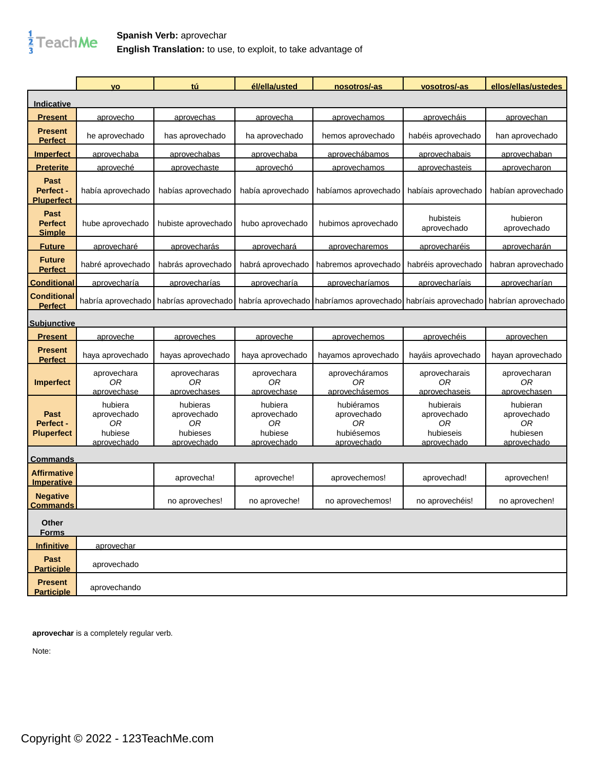

## **Spanish Verb:** aprovechar **English Translation:** to use, to exploit, to take advantage of

|                                         | <b>VO</b>                                              | tú                                                       | él/ella/usted                                          | nosotros/-as                                                                                          | vosotros/-as                                               | ellos/ellas/ustedes                                      |
|-----------------------------------------|--------------------------------------------------------|----------------------------------------------------------|--------------------------------------------------------|-------------------------------------------------------------------------------------------------------|------------------------------------------------------------|----------------------------------------------------------|
| <u>Indicative</u>                       |                                                        |                                                          |                                                        |                                                                                                       |                                                            |                                                          |
| <b>Present</b>                          | aprovecho                                              | aprovechas                                               | aprovecha                                              | aprovechamos                                                                                          | aprovecháis                                                | aprovechan                                               |
| <b>Present</b><br><b>Perfect</b>        | he aprovechado                                         | has aprovechado                                          | ha aprovechado                                         | hemos aprovechado                                                                                     | habéis aprovechado                                         | han aprovechado                                          |
| <u>Imperfect</u>                        | aprovechaba                                            | aprovechabas                                             | <u>aprovechaba</u>                                     | aprovechábamos                                                                                        | aprovechabais                                              | aprovechaban                                             |
| <u>Preterite</u>                        | <u>aproveché</u>                                       | <u>aprovechaste</u>                                      | <u>aprovechó</u>                                       | <u>aprovechamos</u>                                                                                   | <u>aprovechasteis</u>                                      | <u>aprovecharon</u>                                      |
| Past<br>Perfect -<br><u>Pluperfect</u>  | había aprovechado                                      | habías aprovechado                                       | había aprovechado                                      | habíamos aprovechado                                                                                  | habíais aprovechado                                        | habían aprovechado                                       |
| Past<br><b>Perfect</b><br><b>Simple</b> | hube aprovechado                                       | hubiste aprovechado                                      | hubo aprovechado                                       | hubimos aprovechado                                                                                   | hubisteis<br>aprovechado                                   | hubieron<br>aprovechado                                  |
| <b>Future</b>                           | <u>aprovecharé</u>                                     | <u>aprovecharás</u>                                      | <u>aprovechará</u>                                     | aprovecharemos                                                                                        | aprovecharéis                                              | aprovecharán                                             |
| <b>Future</b><br><b>Perfect</b>         | habré aprovechado                                      | habrás aprovechado                                       | habrá aprovechado                                      | habremos aprovechado                                                                                  | habréis aprovechado                                        | habran aprovechado                                       |
| <b>Conditional</b>                      | aprovecharía                                           | <u>aprovecharías</u>                                     | <u>aprovecharía</u>                                    | aprovecharíamos                                                                                       | aprovecharíais                                             | aprovecharían                                            |
| <b>Conditional</b><br><b>Perfect</b>    | habría aprovechado                                     |                                                          |                                                        | habrías aprovechado habría aprovechado habríamos aprovechado habríais aprovechado habrían aprovechado |                                                            |                                                          |
| <u>Subjunctive</u>                      |                                                        |                                                          |                                                        |                                                                                                       |                                                            |                                                          |
| <b>Present</b>                          | aproveche                                              | <u>aproveches</u>                                        | <u>aproveche</u>                                       | aprovechemos                                                                                          | <u>aprovechéis</u>                                         | <u>aprovechen</u>                                        |
| <b>Present</b><br><b>Perfect</b>        | haya aprovechado                                       | hayas aprovechado                                        | haya aprovechado                                       | hayamos aprovechado                                                                                   | hayáis aprovechado                                         | hayan aprovechado                                        |
| <b>Imperfect</b>                        | aprovechara<br>0R<br>aprovechase                       | aprovecharas<br>0R<br>aprovechases                       | aprovechara<br>0R<br>aprovechase                       | aprovecháramos<br>0R<br>aprovechásemos                                                                | aprovecharais<br>0R<br>aprovechaseis                       | aprovecharan<br>0R<br>aprovechasen                       |
| Past<br>Perfect -<br><b>Pluperfect</b>  | hubiera<br>aprovechado<br>0R<br>hubiese<br>aprovechado | hubieras<br>aprovechado<br>0R<br>hubieses<br>aprovechado | hubiera<br>aprovechado<br>0R<br>hubiese<br>aprovechado | hubiéramos<br>aprovechado<br>0R<br>hubiésemos<br>aprovechado                                          | hubierais<br>aprovechado<br>0R<br>hubieseis<br>aprovechado | hubieran<br>aprovechado<br>0R<br>hubiesen<br>aprovechado |
| <u>Commands</u>                         |                                                        |                                                          |                                                        |                                                                                                       |                                                            |                                                          |
| <b>Affirmative</b><br><b>Imperative</b> |                                                        | aprovecha!                                               | aproveche!                                             | aprovechemos!                                                                                         | aprovechad!                                                | aprovechen!                                              |
| <b>Negative</b><br><b>Commands</b>      |                                                        | no aproveches!                                           | no aproveche!                                          | no aprovechemos!                                                                                      | no aprovechéis!                                            | no aprovechen!                                           |
| Other<br><b>Forms</b>                   |                                                        |                                                          |                                                        |                                                                                                       |                                                            |                                                          |
| <b>Infinitive</b>                       | aprovechar                                             |                                                          |                                                        |                                                                                                       |                                                            |                                                          |
| Past<br><b>Participle</b>               | aprovechado                                            |                                                          |                                                        |                                                                                                       |                                                            |                                                          |
| <b>Present</b><br><b>Participle</b>     | aprovechando                                           |                                                          |                                                        |                                                                                                       |                                                            |                                                          |

**aprovechar** is a completely regular verb.

Note: